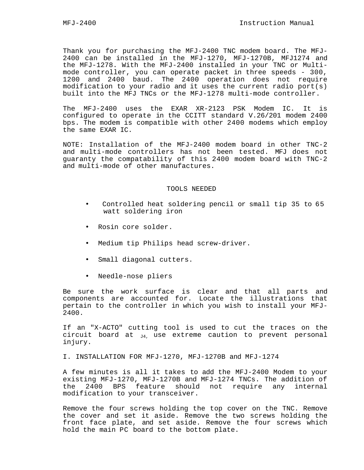Thank you for purchasing the MFJ-2400 TNC modem board. The MFJ-2400 can be installed in the MFJ-1270, MFJ-1270B, MFJ1274 and the MFJ-1278. With the MFJ-2400 installed in your TNC or Multimode controller, you can operate packet in three speeds - 300, 1200 and 2400 baud. The 2400 operation does not require modification to your radio and it uses the current radio port(s) built into the MFJ TNCs or the MFJ-1278 multi-mode controller.

The MFJ-2400 uses the EXAR XR-2123 PSK Modem IC. It is configured to operate in the CCITT standard V.26/201 modem 2400 bps. The modem is compatible with other 2400 modems which employ the same EXAR IC.

NOTE: Installation of the MFJ-2400 modem board in other TNC-2 and multi-mode controllers has not been tested. MFJ does not guaranty the compatability of this 2400 modem board with TNC-2 and multi-mode of other manufactures.

#### TOOLS NEEDED

- Controlled heat soldering pencil or small tip 35 to 65 watt soldering iron
- Rosin core solder.
- Medium tip Philips head screw-driver.
- Small diagonal cutters.
- Needle-nose pliers

Be sure the work surface is clear and that all parts and components are accounted for. Locate the illustrations that pertain to the controller in which you wish to install your MFJ-2400.

If an "X-ACTO" cutting tool is used to cut the traces on the circuit board at  $_{J4}$ , use extreme caution to prevent personal injury.

I. INSTALLATION FOR MFJ-1270, MFJ-1270B and MFJ-1274

A few minutes is all it takes to add the MFJ-2400 Modem to your existing MFJ-1270, MFJ-1270B and MFJ-1274 TNCs. The addition of the 2400 BPS feature should not require any internal modification to your transceiver.

Remove the four screws holding the top cover on the TNC. Remove the cover and set it aside. Remove the two screws holding the front face plate, and set aside. Remove the four screws which hold the main PC board to the bottom plate.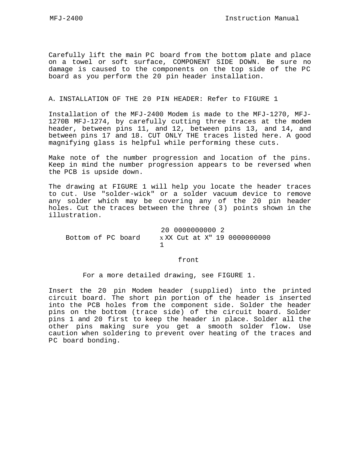Carefully lift the main PC board from the bottom plate and place on a towel or soft surface, COMPONENT SIDE DOWN. Be sure no damage is caused to the components on the top side of the PC board as you perform the 20 pin header installation.

#### A. INSTALLATION OF THE 20 PIN HEADER: Refer to FIGURE 1

Installation of the MFJ-2400 Modem is made to the MFJ-1270, MFJ-1270B MFJ-1274, by carefully cutting three traces at the modem header, between pins 11, and 12, between pins 13, and 14, and between pins 17 and 18. CUT ONLY THE traces listed here. A good magnifying glass is helpful while performing these cuts.

Make note of the number progression and location of the pins. Keep in mind the number progression appears to be reversed when the PCB is upside down.

The drawing at FIGURE 1 will help you locate the header traces to cut. Use "solder-wick" or a solder vacuum device to remove any solder which may be covering any of the 20 pin header holes. Cut the traces between the three ( 3) points shown in the illustration.

20 0000000000 2 Bottom of PC board x XX Cut at X" 19 0000000000 1

front

For a more detailed drawing, see FIGURE 1.

Insert the 20 pin Modem header (supplied) into the printed circuit board. The short pin portion of the header is inserted into the PCB holes from the component side. Solder the header pins on the bottom (trace side) of the circuit board. Solder pins 1 and 20 first to keep the header in place. Solder all the other pins making sure you get a smooth solder flow. Use caution when soldering to prevent over heating of the traces and PC board bonding.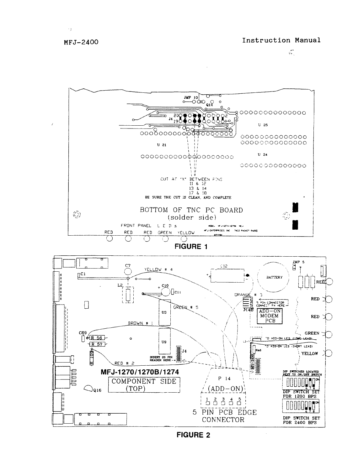**MFJ-2400** 





**FIGURE 2**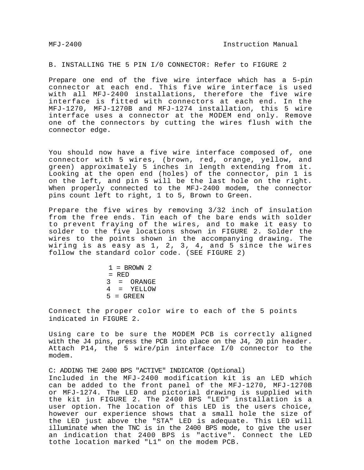B. INSTALLING THE 5 PIN I/0 CONNECTOR: Refer to FIGURE 2

Prepare one end of the five wire interface which has a 5-pin connector at each end. This five wire interface is used with all MFJ-2400 installations, therefore the five wire interface is fitted with connectors at each end. In the MFJ-1270, MFJ-1270B and MFJ-1274 installation, this 5 wire interface uses a connector at the MODEM end only. Remove one of the connectors by cutting the wires flush with the connector edge.

You should now have a five wire interface composed of, one connector with 5 wires, (brown, red, orange, yellow, and green) approximately 5 inches in length extending from it. Looking at the open end (holes) of the connector, pin 1 is on the left, and pin 5 will be the last hole on the right. When properly connected to the MFJ-2400 modem, the connector pins count left to right, 1 to 5, Brown to Green.

Prepare the five wires by removing 3/32 inch of insulation from the free ends. Tin each of the bare ends with solder to prevent fraying of the wires, and to make it easy to solder to the five locations shown in FIGURE 2. Solder the wires to the points shown in the accompanying drawing. The wiring is as easy as 1, 2, 3, 4, and 5 since the wires follow the standard color code. (SEE FIGURE 2)

> $1 = BROWN 2$  $=$  RED  $3 = ORANGE$ 4 = YELLOW  $5 = GREF$

Connect the proper color wire to each of the 5 points indicated in FIGURE 2.

Using care to be sure the MODEM PCB is correctly aligned with the J4 pins, press the PCB into place on the J4, 20 pin header. Attach P14, the 5 wire/pin interface I/0 connector to the modem.

C: ADDING THE 2400 BPS "ACTIVE" INDICATOR (Optional) Included in the MFJ-2400 modification kit is an LED which can be added to the front panel of the MFJ-1270, MFJ-1270B or MFJ-1274. The LED and pictorial drawing is supplied with the kit in FIGURE 2. The 2400 BPS "LED" installation is a user option. The location of this LED is the users choice, however our experience shows that a small hole the size of the LED just above the "STA" LED is adequate. This LED will illuminate when the TNC is in the 2400 BPS mode, to give the user an indication that 2400 BPS is "active". Connect the LED tothe location marked "L1" on the modem PCB.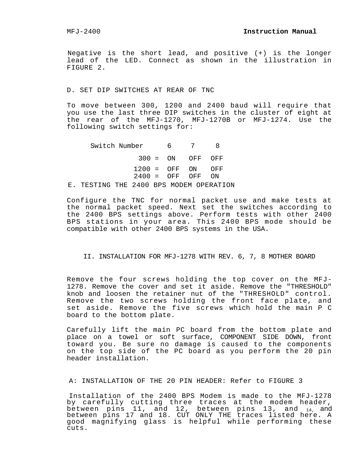Negative is the short lead, and positive (+) is the longer lead of the LED. Connect as shown in the illustration in FIGURE 2.

D. SET DIP SWITCHES AT REAR OF TNC

To move between 300, 1200 and 2400 baud will require that you use the last three DIP switches in the cluster of eight at the rear of the MFJ-1270, MFJ-1270B or MFJ-1274. Use the following switch settings for:

Switch Number 6 7 8 300 = ON OFF OFF 1200 = OFF ON OFF 2400 = OFF OFF ON E. TESTING THE 2400 BPS MODEM OPERATION

Configure the TNC for normal packet use and make tests at the normal packet speed. Next set the switches according to the 2400 BPS settings above. Perform tests with other 2400 BPS stations in your area. This 2400 BPS mode should be compatible with other 2400 BPS systems in the USA.

II. INSTALLATION FOR MFJ-1278 WITH REV. 6, 7, 8 MOTHER BOARD

Remove the four screws holding the top cover on the MFJ-1278. Remove the cover and set it aside. Remove the "THRESHOLD" knob and loosen the retainer nut of the "THRESHOLD" control. Remove the two screws holding the front face plate, and set aside. Remove the five screws which hold the main P C board to the bottom plate.

Carefully lift the main PC board from the bottom plate and place on a towel or soft surface, COMPONENT SIDE DOWN, front toward you. Be sure no damage is caused to the components on the top side of the PC board as you perform the 20 pin header installation.

A: INSTALLATION OF THE 20 PIN HEADER: Refer to FIGURE 3

Installation of the 2400 BPS Modem is made to the MFJ-1278 by carefully cutting three traces at the modem header, between pins  $11$ , and  $12$ , between pins  $13$ , and  $_{14}$ , and between pins 17 and 18. CUT ONLY THE traces listed here. A good magnifying glass is helpful while performing these cuts.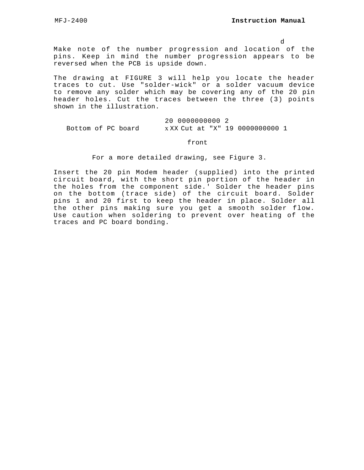d

Make note of the number progression and location of the pins. Keep in mind the number progression appears to be reversed when the PCB is upside down.

The drawing at FIGURE 3 will help you locate the header traces to cut. Use "solder-wick" or a solder vacuum device to remove any solder which may be covering any of the 20 pin header holes. Cut the traces between the three (3) points shown in the illustration.

20 0000000000 2 Bottom of PC board x XX Cut at "X" 19 0000000000 1

#### front

For a more detailed drawing, see Figure 3.

Insert the 20 pin Modem header (supplied) into the printed circuit board, with the short pin portion of the header in the holes from the component side.' Solder the header pins on the bottom (trace side) of the circuit board. Solder pins 1 and 20 first to keep the header in place. Solder all the other pins making sure you get a smooth solder flow. Use caution when soldering to prevent over heating of the traces and PC board bonding.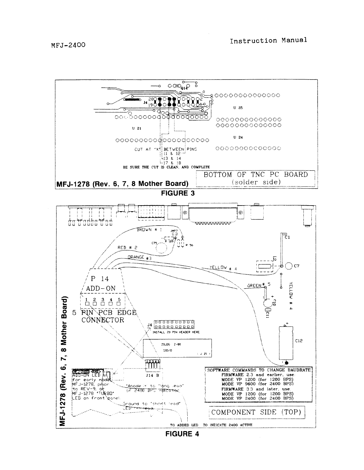

**FIGURE 4**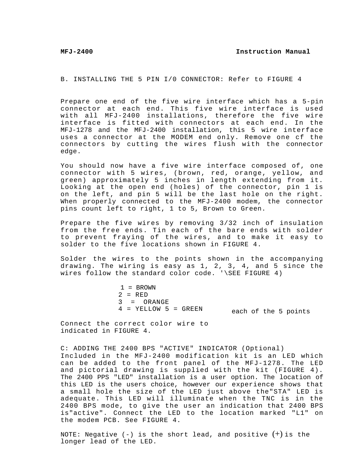B. INSTALLING THE 5 PIN I/0 CONNECTOR: Refer to FIGURE 4

Prepare one end of the five wire interface which has a 5-pin connector at each end. This five wire interface is used with all MFJ-2400 installations, therefore the five wire interface is fitted with connectors at each end. In the MFJ-1278 and the MFJ-2400 installation, this 5 wire interface uses a connector at the MODEM end only. Remove one cf the connectors by cutting the wires flush with the connector edge.

You should now have a five wire interface composed of, one connector with 5 wires, (brown, red, orange, yellow, and green) approximately 5 inches in length extending from it. Looking at the open end (holes) of the connector, pin 1 is on the left, and pin 5 will be the last hole on the right. When properly connected to the MFJ-2400 modem, the connector pins count left to right, 1 to 5, Brown to Green.

Prepare the five wires by removing 3/32 inch of insulation from the free ends. Tin each of the bare ends with solder to prevent fraying of the wires, and to make it easy to solder to the five locations shown in FIGURE 4.

Solder the wires to the points shown in the accompanying drawing. The wiring is easy as 1, 2, 3, 4, and 5 since the wires follow the standard color code. '\SEE FIGURE 4)

> 1 = BROWN  $2 = RED$ 3 = ORANGE  $4 = YELLOW 5 = GREEN$ each of the 5 points

Connect the correct color wire to indicated in FIGURE 4.

C: ADDING THE 2400 BPS "ACTIVE" INDICATOR (Optional) Included in the MFJ-2400 modification kit is an LED which can be added to the front panel of the MFJ-1278. The LED and pictorial drawing is supplied with the kit (FIGURE 4). The 2400 PPS "LED" installation is a user option. The location of this LED is the users choice, however our experience shows that a small hole the size of the LED just above the"STA" LED is adequate. This LED will illuminate when the TNC is in the 2400 BPS mode, to give the user an indication that 2400 BPS is"active". Connect the LED to the location marked "L1" on the modem PCB. See FIGURE 4.

NOTE: Negative  $(-)$  is the short lead, and positive  $(+)$  is the longer lead of the LED.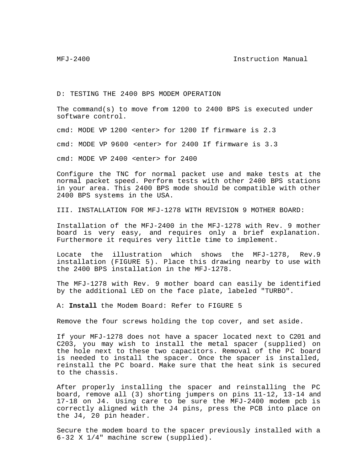MFJ-2400 **Instruction Manual** 

D: TESTING THE 2400 BPS MODEM OPERATION

The command(s) to move from 1200 to 2400 BPS is executed under software control.

cmd: MODE VP 1200 <enter> for 1200 If firmware is 2.3

cmd: MODE VP  $9600$  <enter> for 2400 If firmware is 3.3

cmd: MODE VP 2400 <enter> for 2400

Configure the TNC for normal packet use and make tests at the normal packet speed. Perform tests with other 2400 BPS stations in your area. This 2400 BPS mode should be compatible with other 2400 BPS systems in the USA.

III. INSTALLATION FOR MFJ-1278 WITH REVISION 9 MOTHER BOARD:

Installation of the MFJ-2400 in the MFJ-1278 with Rev. 9 mother board is very easy, and requires only a brief explanation. Furthermore it requires very little time to implement.

Locate the illustration which shows the MFJ-1278, Rev.9 installation (FIGURE 5). Place this drawing nearby to use with the 2400 BPS installation in the MFJ-1278.

The MFJ-1278 with Rev. 9 mother board can easily be identified by the additional LED on the face plate, labeled "TURBO".

A: **Install** the Modem Board: Refer to FIGURE 5

Remove the four screws holding the top cover, and set aside.

If your MFJ-1278 does not have a spacer located next to C201 and C203, you may wish to install the metal spacer (supplied) on the hole next to these two capacitors. Removal of the PC board is needed to install the spacer. Once the spacer is installed, reinstall the PC board. Make sure that the heat sink is secured to the chassis.

After properly installing the spacer and reinstalling the PC board, remove all (3) shorting jumpers on pins 11-12, 13-14 and 17-18 on J4. Using care to be sure the MFJ-2400 modem pcb is correctly aligned with the J4 pins, press the PCB into place on the J4, 20 pin header.

Secure the modem board to the spacer previously installed with a 6-32 X 1/4" machine screw (supplied).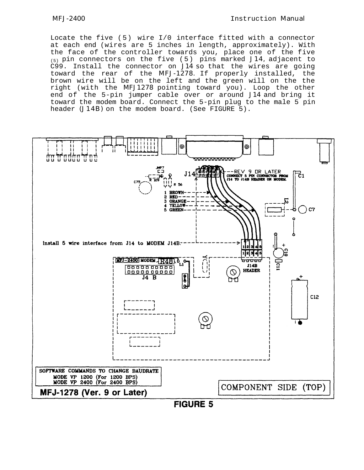Locate the five ( 5) wire I/0 interface fitted with a connector at each end (wires are 5 inches in length, approximately). With the face of the controller towards you, place one of the five  $(5)$  pin connectors on the five (5) pins marked J14, adjacent to C99. Install the connector on J14 so that the wires are going toward the rear of the MFJ-1278. If properly installed, the brown wire will be on the left and the green will on the the right (with the MFJ1278 pointing toward you). Loop the other end of the 5-pin jumper cable over or around J14 and bring it toward the modem board. Connect the 5-pin plug to the male 5 pin header (J14B) on the modem board. (See FIGURE 5).

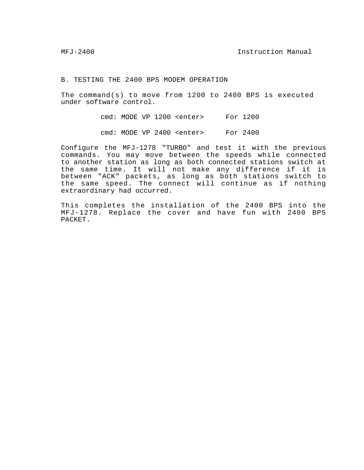B. TESTING THE 2400 BPS MODEM OPERATION

The command(s) to move from 1200 to 2400 BPS is executed under software control.

> cmd: MODE VP 1200 <enter> For 1200 cmd: MODE VP 2400 <enter> For 2400

Configure the MFJ-1278 "TURBO" and test it with the previous commands. You may move between the speeds while connected to another station as long as both connected stations switch at the same time. It will not make any difference if it is between "ACK" packets, as long as both stations switch to the same speed. The connect will continue as if nothing extraordinary had occurred.

This completes the installation of the 2400 BPS into the MFJ-1278. Replace the cover and have fun with 2400 BPS PACKET.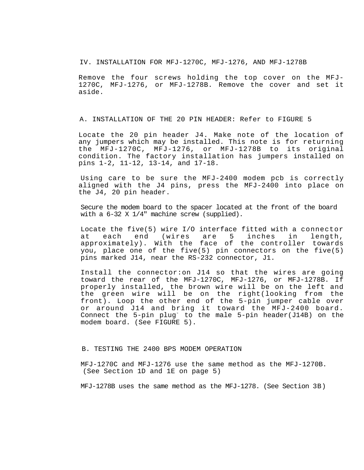IV. INSTALLATION FOR MFJ-1270C, MFJ-1276, AND MFJ-1278B

Remove the four screws holding the top cover on the MFJ-1270C, MFJ-1276, or MFJ-1278B. Remove the cover and set it aside.

A. INSTALLATION OF THE 20 PIN HEADER: Refer to FIGURE 5

Locate the 20 pin header J4. Make note of the location of any jumpers which may be installed. This note is for returning the MFJ-1270C, MFJ-1276, or MFJ-1278B to its original condition. The factory installation has jumpers installed on pins 1-2, 11-12, 13-14, and 17-18.

Using care to be sure the MFJ-2400 modem pcb is correctly aligned with the J4 pins, press the MFJ-2400 into place on the J4, 20 pin header.

Secure the modem board to the spacer located at the front of the board with a 6-32 X 1/4" machine screw (supplied).

Locate the five(5) wire I/O interface fitted with a connector at each end (wires are 5 inches in length, approximately). With the face of the controller towards you, place one of the five(5) pin connectors on the five(5) pins marked J14, near the RS-232 connector, J1.

Install the connector:on J14 so that the wires are going toward the rear of the MFJ-1270C, MFJ-1276, or MFJ-1278B. If properly installed, the brown wire will be on the left and the green wire will be on the right(looking from the front). Loop the other end of the 5-pin jumper cable over or around J14 and bring it toward the MFJ-2400 board. Connect the 5-pin plug<sup>-</sup> to the male 5-pin header(J14B) on the modem board. (See FIGURE 5).

# B. TESTING THE 2400 BPS MODEM OPERATION

MFJ-1270C and MFJ-1276 use the same method as the MFJ-1270B. (See Section 1D and 1E on page 5)

MFJ-1278B uses the same method as the MFJ-1278. (See Section 3B)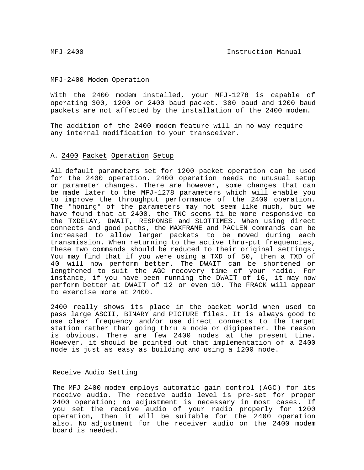#### MFJ-2400 Modem Operation

With the 2400 modem installed, your MFJ-1278 is capable of operating 300, 1200 or 2400 baud packet. 300 baud and 1200 baud packets are not affected by the installation of the 2400 modem.

The addition of the 2400 modem feature will in no way require any internal modification to your transceiver.

# A. 2400 Packet Operation Setup

All default parameters set for 1200 packet operation can be used for the 2400 operation. 2400 operation needs no unusual setup or parameter changes. There are however, some changes that can be made later to the MFJ-1278 parameters which will enable you to improve the throughput performance of the 2400 operation. The "honing" of the parameters may not seem like much, but we have found that at 2400, the TNC seems ti be more responsive to the TXDELAY, DWAIT, RESPONSE and SLOTTIMES. When using direct connects and good paths, the MAXFRAME and PACLEN commands can be increased to allow larger packets to be moved during each transmission. When returning to the active thru-put frequencies, these two commands should be reduced to their original settings. You may find that if you were using a TXD of 50, then a TXD of 40 will now perform better. The DWAIT can be shortened or lengthened to suit the AGC recovery time of your radio. For instance, if you have been running the DWAIT of 16, it may now perform better at DWAIT of 12 or even 10. The FRACK will appear to exercise more at 2400.

2400 really shows its place in the packet world when used to pass large ASCII, BINARY and PICTURE files. It is always good to use clear frequency and/or use direct connects to the target station rather than going thru a node or digipeater. The reason is obvious. There are few 2400 nodes at the present time. However, it should be pointed out that implementation of a 2400 node is just as easy as building and using a 1200 node.

#### Receive Audio Setting

The MFJ 2400 modem employs automatic gain control (AGC) for its receive audio. The receive audio level is pre-set for proper 2400 operation; no adjustment is necessary in most cases. If you set the receive audio of your radio properly for 1200 operation, then it will be suitable for the 2400 operation also. No adjustment for the receiver audio on the 2400 modem board is needed.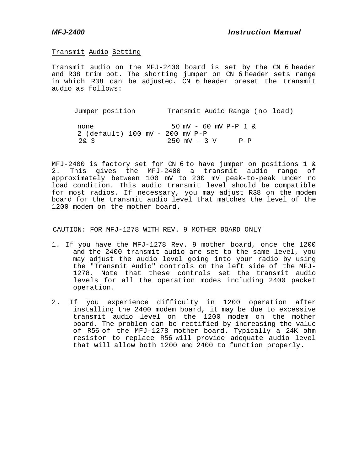# Transmit Audio Setting

Transmit audio on the MFJ-2400 board is set by the CN 6 header and R38 trim pot. The shorting jumper on CN 6 header sets range in which R38 can be adjusted. CN 6 header preset the transmit audio as follows:

Jumper position Transmit Audio Range (no load) none 50 mV - 60 mV P-P 1 & 2 (default) 100 mV - 200 mV P-P 2& 3 250 mV - 3 V P-P

MFJ-2400 is factory set for CN 6 to have jumper on positions 1 & 2. This gives the MFJ-2400 a transmit audio range of approximately between 100 mV to 200 mV peak-to-peak under no load condition. This audio transmit level should be compatible for most radios. If necessary, you may adjust R38 on the modem board for the transmit audio level that matches the level of the 1200 modem on the mother board.

CAUTION: FOR MFJ-1278 WITH REV. 9 MOTHER BOARD ONLY

- 1. If you have the MFJ-1278 Rev. 9 mother board, once the 1200 and the 2400 transmit audio are set to the same level, you may adjust the audio level going into your radio by using the "Transmit Audio" controls on the left side of the MFJ-1278. Note that these controls set the transmit audio levels for all the operation modes including 2400 packet operation.
- 2. If you experience difficulty in 1200 operation after installing the 2400 modem board, it may be due to excessive transmit audio level on the 1200 modem on the mother board. The problem can be rectified by increasing the value of R56 of the MFJ-1278 mother board. Typically a 24K ohm resistor to replace R56 will provide adequate audio level that will allow both 1200 and 2400 to function properly.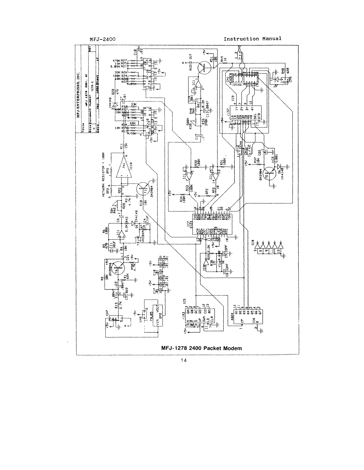